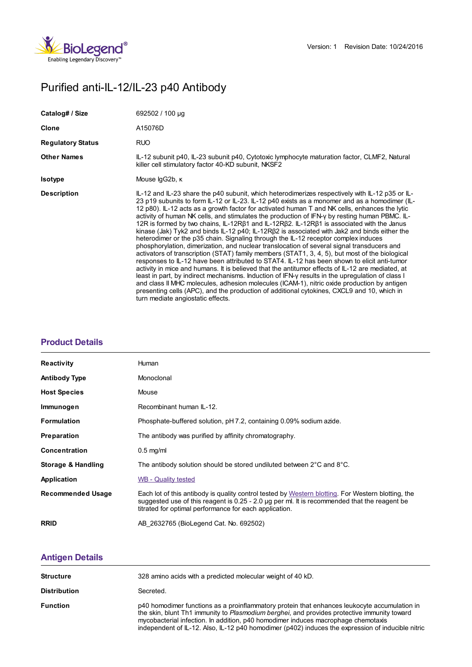

# Purified anti-IL-12/IL-23 p40 Antibody

| Catalog# / Size          | 692502 / 100 µg                                                                                                                                                                                                                                                                                                                                                                                                                                                                                                                                                                                                                                                                                                                                                                                                                                                                                                                                                                                                                                                                                                                                                                                                                                                                                                                                                                                                                         |
|--------------------------|-----------------------------------------------------------------------------------------------------------------------------------------------------------------------------------------------------------------------------------------------------------------------------------------------------------------------------------------------------------------------------------------------------------------------------------------------------------------------------------------------------------------------------------------------------------------------------------------------------------------------------------------------------------------------------------------------------------------------------------------------------------------------------------------------------------------------------------------------------------------------------------------------------------------------------------------------------------------------------------------------------------------------------------------------------------------------------------------------------------------------------------------------------------------------------------------------------------------------------------------------------------------------------------------------------------------------------------------------------------------------------------------------------------------------------------------|
| Clone                    | A15076D                                                                                                                                                                                                                                                                                                                                                                                                                                                                                                                                                                                                                                                                                                                                                                                                                                                                                                                                                                                                                                                                                                                                                                                                                                                                                                                                                                                                                                 |
| <b>Regulatory Status</b> | <b>RUO</b>                                                                                                                                                                                                                                                                                                                                                                                                                                                                                                                                                                                                                                                                                                                                                                                                                                                                                                                                                                                                                                                                                                                                                                                                                                                                                                                                                                                                                              |
| <b>Other Names</b>       | IL-12 subunit p40, IL-23 subunit p40, Cytotoxic lymphocyte maturation factor, CLMF2, Natural<br>killer cell stimulatory factor 40-KD subunit, NKSF2                                                                                                                                                                                                                                                                                                                                                                                                                                                                                                                                                                                                                                                                                                                                                                                                                                                                                                                                                                                                                                                                                                                                                                                                                                                                                     |
| <b>Isotype</b>           | Mouse IgG2b, K                                                                                                                                                                                                                                                                                                                                                                                                                                                                                                                                                                                                                                                                                                                                                                                                                                                                                                                                                                                                                                                                                                                                                                                                                                                                                                                                                                                                                          |
| <b>Description</b>       | IL-12 and IL-23 share the p40 subunit, which heterodimerizes respectively with IL-12 p35 or IL-<br>23 p19 subunits to form IL-12 or IL-23. IL-12 p40 exists as a monomer and as a homodimer (IL-<br>12 p80). IL-12 acts as a growth factor for activated human T and NK cells, enhances the lytic<br>activity of human NK cells, and stimulates the production of IFN-y by resting human PBMC. IL-<br>12R is formed by two chains, IL-12RB1 and IL-12RB2. IL-12RB1 is associated with the Janus<br>kinase (Jak) Tyk2 and binds $IL-12 p40$ ; $IL-12R\beta2$ is associated with Jak2 and binds either the<br>heterodimer or the p35 chain. Signaling through the IL-12 receptor complex induces<br>phosphorylation, dimerization, and nuclear translocation of several signal transducers and<br>activators of transcription (STAT) family members (STAT1, 3, 4, 5), but most of the biological<br>responses to IL-12 have been attributed to STAT4. IL-12 has been shown to elicit anti-tumor<br>activity in mice and humans. It is believed that the antitumor effects of IL-12 are mediated, at<br>least in part, by indirect mechanisms. Induction of IFN-y results in the upregulation of class I<br>and class II MHC molecules, adhesion molecules (ICAM-1), nitric oxide production by antigen<br>presenting cells (APC), and the production of additional cytokines, CXCL9 and 10, which in<br>turn mediate angiostatic effects. |

## **[Product](https://production-dynamicweb.biolegend.com/fr-lu/products/purified-anti-il-12-il-23-p40-antibody-13738?pdf=true&displayInline=true&leftRightMargin=15&topBottomMargin=15&filename=Purified anti-IL-12/IL-23 p40 Antibody.pdf#productDetails) Details**

| <b>Reactivity</b>        | Human                                                                                                                                                                                                                                                          |
|--------------------------|----------------------------------------------------------------------------------------------------------------------------------------------------------------------------------------------------------------------------------------------------------------|
| <b>Antibody Type</b>     | Monoclonal                                                                                                                                                                                                                                                     |
| <b>Host Species</b>      | Mouse                                                                                                                                                                                                                                                          |
| Immunogen                | Recombinant human IL-12.                                                                                                                                                                                                                                       |
| <b>Formulation</b>       | Phosphate-buffered solution, pH 7.2, containing 0.09% sodium azide.                                                                                                                                                                                            |
| <b>Preparation</b>       | The antibody was purified by affinity chromatography.                                                                                                                                                                                                          |
| Concentration            | $0.5$ mg/ml                                                                                                                                                                                                                                                    |
| Storage & Handling       | The antibody solution should be stored undiluted between $2^{\circ}$ C and $8^{\circ}$ C.                                                                                                                                                                      |
| Application              | <b>WB - Quality tested</b>                                                                                                                                                                                                                                     |
| <b>Recommended Usage</b> | Each lot of this antibody is quality control tested by Western blotting. For Western blotting, the<br>suggested use of this reagent is $0.25 - 2.0$ µg per ml. It is recommended that the reagent be<br>titrated for optimal performance for each application. |
| <b>RRID</b>              | AB 2632765 (BioLegend Cat. No. 692502)                                                                                                                                                                                                                         |

# **[Antigen](https://production-dynamicweb.biolegend.com/fr-lu/products/purified-anti-il-12-il-23-p40-antibody-13738?pdf=true&displayInline=true&leftRightMargin=15&topBottomMargin=15&filename=Purified anti-IL-12/IL-23 p40 Antibody.pdf#antigenDetails) Details**

| <b>Structure</b>    | 328 amino acids with a predicted molecular weight of 40 kD.                                                                                                                                                                                                                                                                                                                           |
|---------------------|---------------------------------------------------------------------------------------------------------------------------------------------------------------------------------------------------------------------------------------------------------------------------------------------------------------------------------------------------------------------------------------|
| <b>Distribution</b> | Secreted.                                                                                                                                                                                                                                                                                                                                                                             |
| <b>Function</b>     | p40 homodimer functions as a proinflammatory protein that enhances leukocyte accumulation in<br>the skin, blunt Th1 immunity to Plasmodium berghei, and provides protective immunity toward<br>mycobacterial infection. In addition, p40 homodimer induces macrophage chemotaxis<br>independent of IL-12. Also, IL-12 p40 homodimer (p402) induces the expression of inducible nitric |